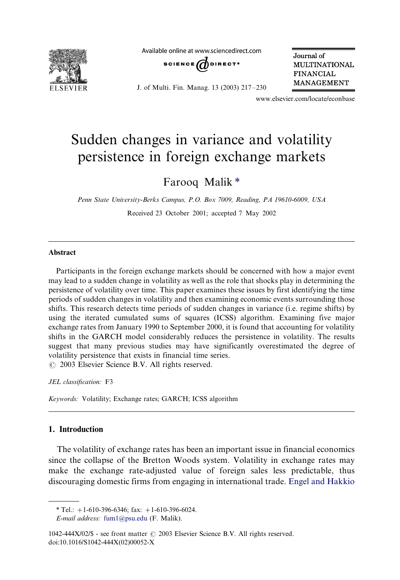

Available online at www.sciencedirect.com



J. of Multi. Fin. Manag. 13 (2003) 217-/230

Journal of **MULTINATIONAL** FINANCIAL MANAGEMENT

www.elsevier.com/locate/econbase

## Sudden changes in variance and volatility persistence in foreign exchange markets

Farooq Malik \*

Penn State University-Berks Campus, P.O. Box 7009, Reading, PA 19610-6009, USA

Received 23 October 2001; accepted 7 May 2002

#### Abstract

Participants in the foreign exchange markets should be concerned with how a major event may lead to a sudden change in volatility as well as the role that shocks play in determining the persistence of volatility over time. This paper examines these issues by first identifying the time periods of sudden changes in volatility and then examining economic events surrounding those shifts. This research detects time periods of sudden changes in variance (i.e. regime shifts) by using the iterated cumulated sums of squares (ICSS) algorithm. Examining five major exchange rates from January 1990 to September 2000, it is found that accounting for volatility shifts in the GARCH model considerably reduces the persistence in volatility. The results suggest that many previous studies may have significantly overestimated the degree of volatility persistence that exists in financial time series.  $\odot$  2003 Elsevier Science B.V. All rights reserved.

JEL classification: F3

Keywords: Volatility; Exchange rates; GARCH; ICSS algorithm

### 1. Introduction

The volatility of exchange rates has been an important issue in financial economics since the collapse of the Bretton Woods system. Volatility in exchange rates may make the exchange rate-adjusted value of foreign sales less predictable, thus discouraging domestic firms from engaging in international trade. [Engel and Hakkio](#page--1-0)

<sup>\*</sup> Tel.:  $+1-610-396-6346$ ; fax:  $+1-610-396-6024$ .

E-mail address: [fum1@psu.edu](mailto:fum1@psu.edu) (F. Malik).

 $1042-444X/02/S$  - see front matter  $\odot$  2003 Elsevier Science B.V. All rights reserved. doi:10.1016/S1042-444X(02)00052-X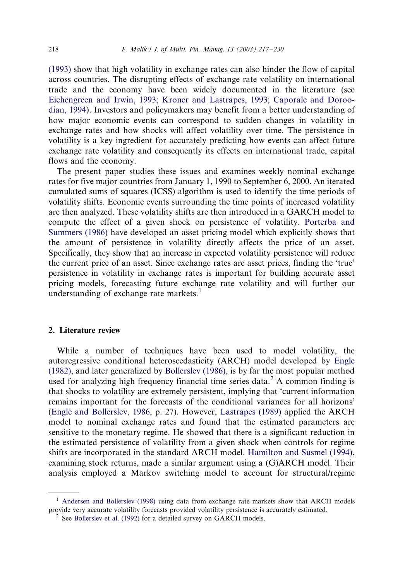[\(1993\)](#page--1-0) show that high volatility in exchange rates can also hinder the flow of capital across countries. The disrupting effects of exchange rate volatility on international trade and the economy have been widely documented in the literature (see [Eichengreen and Irwin, 1993; Kroner and Lastrapes, 1993; Caporale and Doroo](#page--1-0)[dian, 1994\)](#page--1-0). Investors and policymakers may benefit from a better understanding of how major economic events can correspond to sudden changes in volatility in exchange rates and how shocks will affect volatility over time. The persistence in volatility is a key ingredient for accurately predicting how events can affect future exchange rate volatility and consequently its effects on international trade, capital flows and the economy.

The present paper studies these issues and examines weekly nominal exchange rates for five major countries from January 1, 1990 to September 6, 2000. An iterated cumulated sums of squares (ICSS) algorithm is used to identify the time periods of volatility shifts. Economic events surrounding the time points of increased volatility are then analyzed. These volatility shifts are then introduced in a GARCH model to compute the effect of a given shock on persistence of volatility. [Porterba and](#page--1-0) [Summers \(1986\)](#page--1-0) have developed an asset pricing model which explicitly shows that the amount of persistence in volatility directly affects the price of an asset. Specifically, they show that an increase in expected volatility persistence will reduce the current price of an asset. Since exchange rates are asset prices, finding the 'true' persistence in volatility in exchange rates is important for building accurate asset pricing models, forecasting future exchange rate volatility and will further our understanding of exchange rate markets. $<sup>1</sup>$ </sup>

### 2. Literature review

While a number of techniques have been used to model volatility, the autoregressive conditional heteroscedasticity (ARCH) model developed by [Engle](#page--1-0) [\(1982\)](#page--1-0), and later generalized by [Bollersle](#page--1-0)v (1986), is by far the most popular method used for analyzing high frequency financial time series data.<sup>2</sup> A common finding is that shocks to volatility are extremely persistent, implying that 'current information remains important for the forecasts of the conditional variances for all horizons' [\(Engle and Bollersle](#page--1-0)v, 1986, p. 27). However, [Lastrapes \(1989\)](#page--1-0) applied the ARCH model to nominal exchange rates and found that the estimated parameters are sensitive to the monetary regime. He showed that there is a significant reduction in the estimated persistence of volatility from a given shock when controls for regime shifts are incorporated in the standard ARCH model. [Hamilton and Susmel \(1994\),](#page--1-0) examining stock returns, made a similar argument using a (G)ARCH model. Their analysis employed a Markov switching model to account for structural/regime

<sup>&</sup>lt;sup>1</sup> [Andersen and Bollersle](#page--1-0)v (1998) using data from exchange rate markets show that ARCH models provide very accurate volatility forecasts provided volatility persistence is accurately estimated. <sup>2</sup> See Bollerslev [et al. \(1992\)](#page--1-0) for a detailed survey on GARCH models.